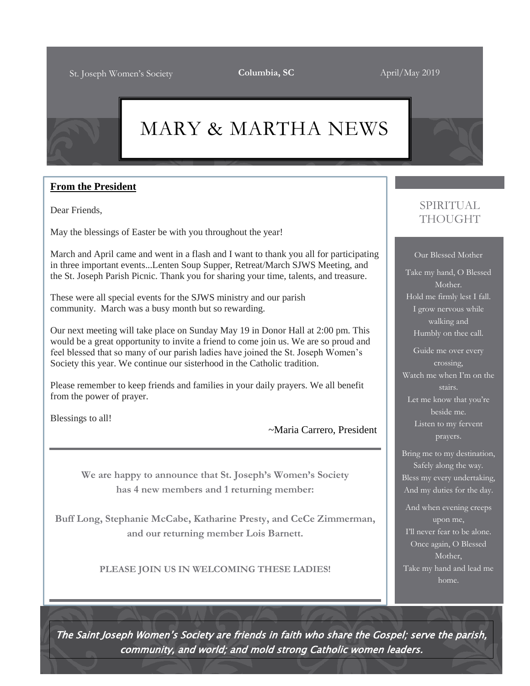# MARY & MARTHA NEWS

#### **From the President**

Dear Friends,

May the blessings of Easter be with you throughout the year!

March and April came and went in a flash and I want to thank you all for participating in three important events...Lenten Soup Supper, Retreat/March SJWS Meeting, and the St. Joseph Parish Picnic. Thank you for sharing your time, talents, and treasure.

These were all special events for the SJWS ministry and our parish community. March was a busy month but so rewarding.

Our next meeting will take place on Sunday May 19 in Donor Hall at 2:00 pm. This would be a great opportunity to invite a friend to come join us. We are so proud and feel blessed that so many of our parish ladies have joined the St. Joseph Women's Society this year. We continue our sisterhood in the Catholic tradition.

Please remember to keep friends and families in your daily prayers. We all benefit from the power of prayer.

Blessings to all!

~Maria Carrero, President

**We are happy to announce that St. Joseph's Women's Society has 4 new members and 1 returning member:**

**Buff Long, Stephanie McCabe, Katharine Presty, and CeCe Zimmerman, and our returning member Lois Barnett.**

**PLEASE JOIN US IN WELCOMING THESE LADIES!**

### SPIRITUAL THOUGHT

Our Blessed Mother

Take my hand, O Blessed Mother. Hold me firmly lest I fall. I grow nervous while walking and Humbly on thee call.

Guide me over every crossing, Watch me when  $\Gamma$ m on the stairs. Let me know that you're

beside me. Listen to my fervent prayers.

Bring me to my destination, Safely along the way. Bless my every undertaking, And my duties for the day.

And when evening creeps upon me, I'll never fear to be alone.

Once again, O Blessed Mother, Take my hand and lead me home.

The Saint Joseph Women's Society are friends in faith who share the Gospel; serve the parish, community, and world; and mold strong Catholic women leaders.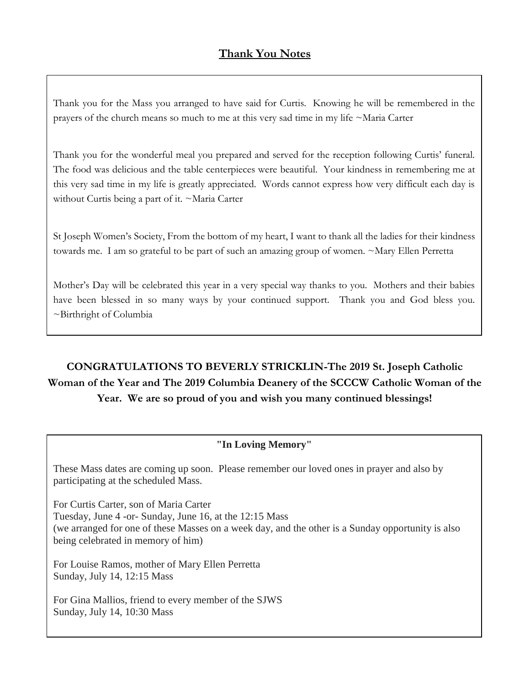Thank you for the Mass you arranged to have said for Curtis. Knowing he will be remembered in the prayers of the church means so much to me at this very sad time in my life ~Maria Carter

Thank you for the wonderful meal you prepared and served for the reception following Curtis' funeral. The food was delicious and the table centerpieces were beautiful. Your kindness in remembering me at this very sad time in my life is greatly appreciated. Words cannot express how very difficult each day is without Curtis being a part of it. ~Maria Carter

St Joseph Women's Society, From the bottom of my heart, I want to thank all the ladies for their kindness towards me. I am so grateful to be part of such an amazing group of women. ~Mary Ellen Perretta

Mother's Day will be celebrated this year in a very special way thanks to you. Mothers and their babies have been blessed in so many ways by your continued support. Thank you and God bless you. ~Birthright of Columbia

**CONGRATULATIONS TO BEVERLY STRICKLIN-The 2019 St. Joseph Catholic Woman of the Year and The 2019 Columbia Deanery of the SCCCW Catholic Woman of the Year. We are so proud of you and wish you many continued blessings!**

#### **"In Loving Memory"**

These Mass dates are coming up soon. Please remember our loved ones in prayer and also by participating at the scheduled Mass.

For Curtis Carter, son of Maria Carter Tuesday, June 4 -or- Sunday, June 16, at the 12:15 Mass (we arranged for one of these Masses on a week day, and the other is a Sunday opportunity is also being celebrated in memory of him)

For Louise Ramos, mother of Mary Ellen Perretta Sunday, July 14, 12:15 Mass

For Gina Mallios, friend to every member of the SJWS Sunday, July 14, 10:30 Mass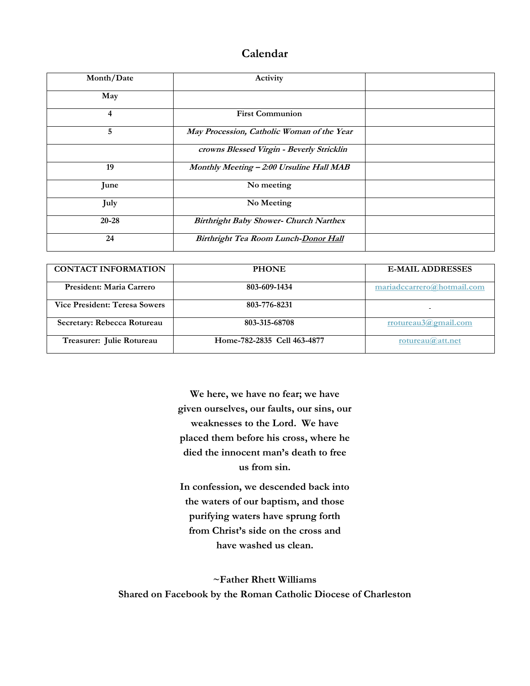#### **Calendar**

| Month/Date | Activity                                      |  |
|------------|-----------------------------------------------|--|
| May        |                                               |  |
| 4          | <b>First Communion</b>                        |  |
| 5          | May Procession, Catholic Woman of the Year    |  |
|            | crowns Blessed Virgin - Beverly Stricklin     |  |
| 19         | Monthly Meeting - 2:00 Ursuline Hall MAB      |  |
| June       | No meeting                                    |  |
| July       | No Meeting                                    |  |
| $20 - 28$  | <b>Birthright Baby Shower- Church Narthex</b> |  |
| 24         | Birthright Tea Room Lunch-Donor Hall          |  |

| <b>CONTACT INFORMATION</b>           | <b>PHONE</b>                | <b>E-MAIL ADDRESSES</b>    |
|--------------------------------------|-----------------------------|----------------------------|
| President: Maria Carrero             | 803-609-1434                | mariadccarrero@hotmail.com |
| <b>Vice President: Teresa Sowers</b> | 803-776-8231                |                            |
| Secretary: Rebecca Rotureau          | 803-315-68708               | rrotureau3@gmail.com       |
| Treasurer: Julie Rotureau            | Home-782-2835 Cell 463-4877 | rotureau $@$ att.net       |

**We here, we have no fear; we have given ourselves, our faults, our sins, our weaknesses to the Lord. We have placed them before his cross, where he died the innocent man's death to free us from sin.**

**In confession, we descended back into the waters of our baptism, and those purifying waters have sprung forth from Christ's side on the cross and have washed us clean.**

**~Father Rhett Williams Shared on Facebook by the Roman Catholic Diocese of Charleston**